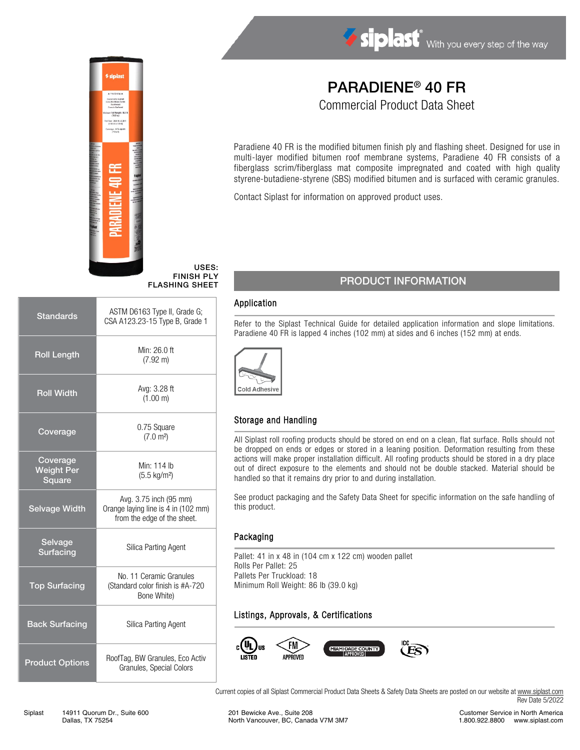

#### USES: FINISH PLY FLASHING SHEET

| <b>Standards</b>                        | ASTM D6163 Type II, Grade G;<br>CSA A123.23-15 Type B, Grade 1                               |  |  |
|-----------------------------------------|----------------------------------------------------------------------------------------------|--|--|
| <b>Roll Length</b>                      | Min: 26.0 ft<br>$(7.92 \text{ m})$                                                           |  |  |
| <b>Roll Width</b>                       | Avg: 3.28 ft<br>(1.00 m)                                                                     |  |  |
| Coverage                                | 0.75 Square<br>(7.0 m <sup>2</sup> )                                                         |  |  |
| Coverage<br><b>Weight Per</b><br>Square | Min: 114 lb<br>$(5.5 \text{ kg/m}^2)$                                                        |  |  |
| <b>Selvage Width</b>                    | Avg. 3.75 inch (95 mm)<br>Orange laying line is 4 in (102 mm)<br>from the edge of the sheet. |  |  |
| Selvage<br><b>Surfacing</b>             | <b>Silica Parting Agent</b>                                                                  |  |  |
| <b>Top Surfacing</b>                    | No. 11 Ceramic Granules<br>(Standard color finish is #A-720<br>Bone White)                   |  |  |
| <b>Back Surfacing</b>                   | Silica Parting Agent                                                                         |  |  |
| <b>Product Options</b>                  | RoofTag, BW Granules, Eco Activ<br>Granules, Special Colors                                  |  |  |

# PARADIENE® 40 FR

Commercial Product Data Sheet

Paradiene 40 FR is the modified bitumen finish ply and flashing sheet. Designed for use in multi-layer modified bitumen roof membrane systems, Paradiene 40 FR consists of a fiberglass scrim/fiberglass mat composite impregnated and coated with high quality styrene-butadiene-styrene (SBS) modified bitumen and is surfaced with ceramic granules.

Contact Siplast for information on approved product uses.

### PRODUCT INFORMATION

#### Application

Refer to the Siplast Technical Guide for detailed application information and slope limitations. Paradiene 40 FR is lapped 4 inches (102 mm) at sides and 6 inches (152 mm) at ends.



#### Storage and Handling

All Siplast roll roofing products should be stored on end on a clean, flat surface. Rolls should not be dropped on ends or edges or stored in a leaning position. Deformation resulting from these actions will make proper installation difficult. All roofing products should be stored in a dry place out of direct exposure to the elements and should not be double stacked. Material should be handled so that it remains dry prior to and during installation.

See product packaging and the Safety Data Sheet for specific information on the safe handling of this product.

#### Packaging

Pallet: 41 in x 48 in (104 cm x 122 cm) wooden pallet Rolls Per Pallet: 25 Pallets Per Truckload: 18 Minimum Roll Weight: 86 lb (39.0 kg)

### Listings, Approvals, & Certifications



Current copies of all Siplast Commercial Product Data Sheets & Safety Data Sheets are posted on our website at [www.siplast.com](http://www.siplast.com/) Rev Date 5/2022